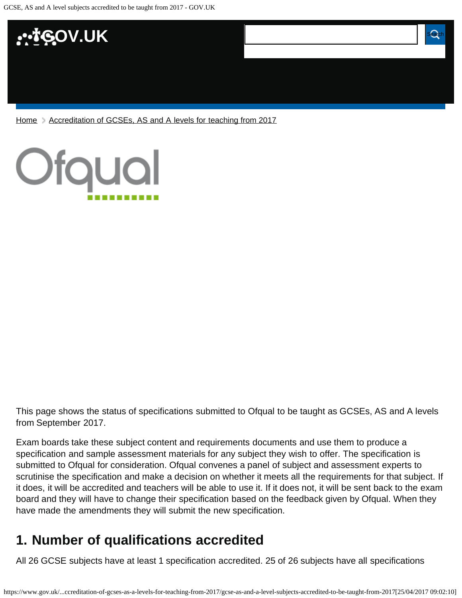

[Home](https://www.gov.uk/) > [Accreditation of GCSEs, AS and A levels for teaching from 2017](https://www.gov.uk/government/publications/accreditation-of-gcses-as-a-levels-for-teaching-from-2017)



This page shows the status of specifications submitted to Ofqual to be taught as GCSEs, AS and A levels from September 2017.

Exam boards take these subject content and requirements documents and use them to produce a specification and sample assessment materials for any subject they wish to offer. The specification is submitted to Ofqual for consideration. Ofqual convenes a panel of subject and assessment experts to scrutinise the specification and make a decision on whether it meets all the requirements for that subject. If it does, it will be accredited and teachers will be able to use it. If it does not, it will be sent back to the exam board and they will have to change their specification based on the feedback given by Ofqual. When they have made the amendments they will submit the new specification.

# <span id="page-0-0"></span>**1. Number of qualifications accredited**

All 26 GCSE subjects have at least 1 specification accredited. 25 of 26 subjects have all specifications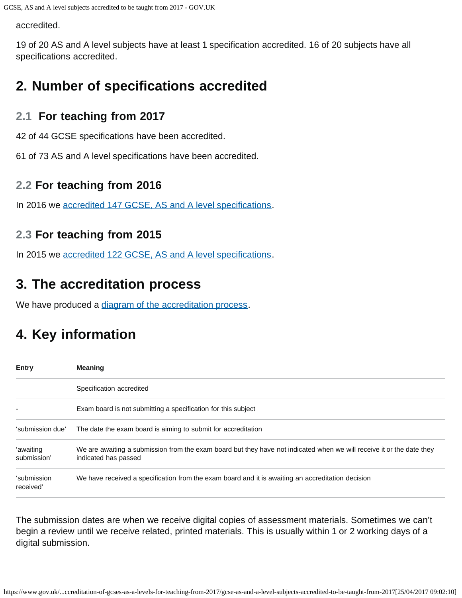accredited.

19 of 20 AS and A level subjects have at least 1 specification accredited. 16 of 20 subjects have all specifications accredited.

## <span id="page-1-0"></span>**2. Number of specifications accredited**

#### **2.1 For teaching from 2017**

42 of 44 GCSE specifications have been accredited.

61 of 73 AS and A level specifications have been accredited.

#### **2.2 For teaching from 2016**

In 2016 we [accredited 147 GCSE, AS and A level specifications.](https://www.gov.uk/government/publications/accreditation-of-gcses-as-a-levels-for-teaching-from-2016)

#### **2.3 For teaching from 2015**

In 2015 we [accredited 122 GCSE, AS and A level specifications.](https://www.gov.uk/government/publications/new-gcses-as-and-a-levels-accredited-to-be-taught-from-2015)

## <span id="page-1-1"></span>**3. The accreditation process**

We have produced a [diagram of the accreditation process.](https://www.gov.uk/government/publications/your-qualification-our-regulation-gcse-as-and-a-level-reforms#attachment_1634078)

# <span id="page-1-2"></span>**4. Key information**

| <b>Entry</b>             | <b>Meaning</b>                                                                                                                                |  |  |
|--------------------------|-----------------------------------------------------------------------------------------------------------------------------------------------|--|--|
|                          | Specification accredited                                                                                                                      |  |  |
|                          | Exam board is not submitting a specification for this subject                                                                                 |  |  |
| 'submission due'         | The date the exam board is aiming to submit for accreditation                                                                                 |  |  |
| 'awaiting<br>submission' | We are awaiting a submission from the exam board but they have not indicated when we will receive it or the date they<br>indicated has passed |  |  |
| 'submission<br>received' | We have received a specification from the exam board and it is awaiting an accreditation decision                                             |  |  |

The submission dates are when we receive digital copies of assessment materials. Sometimes we can't begin a review until we receive related, printed materials. This is usually within 1 or 2 working days of a digital submission.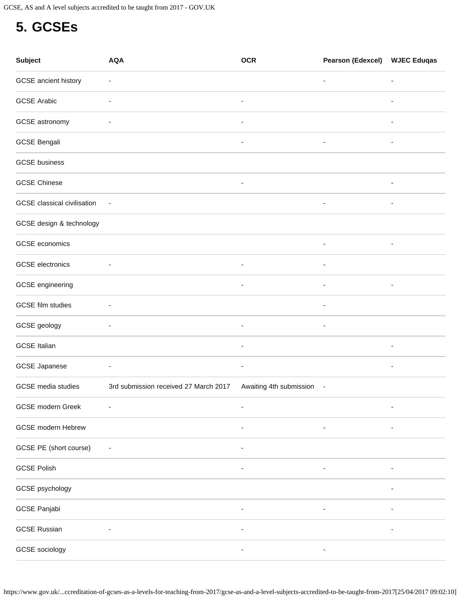## <span id="page-2-0"></span>**5. GCSEs**

| <b>Subject</b>              | <b>AQA</b>                            | <b>OCR</b>               | <b>Pearson (Edexcel)</b> | <b>WJEC Eduqas</b>       |
|-----------------------------|---------------------------------------|--------------------------|--------------------------|--------------------------|
| GCSE ancient history        | $\overline{\phantom{a}}$              |                          | $\overline{\phantom{a}}$ | $\overline{\phantom{a}}$ |
| <b>GCSE Arabic</b>          | ۰                                     | ۰                        |                          | $\overline{\phantom{a}}$ |
| GCSE astronomy              | $\overline{\phantom{a}}$              | $\overline{\phantom{a}}$ |                          | $\overline{\phantom{a}}$ |
| <b>GCSE Bengali</b>         |                                       | $\overline{\phantom{a}}$ | $\overline{\phantom{a}}$ | $\overline{a}$           |
| <b>GCSE</b> business        |                                       |                          |                          |                          |
| <b>GCSE Chinese</b>         |                                       | $\overline{\phantom{a}}$ |                          | $\overline{\phantom{a}}$ |
| GCSE classical civilisation | $\overline{\phantom{a}}$              |                          | $\overline{\phantom{a}}$ | $\overline{\phantom{a}}$ |
| GCSE design & technology    |                                       |                          |                          |                          |
| <b>GCSE</b> economics       |                                       |                          | $\overline{\phantom{a}}$ | $\overline{\phantom{a}}$ |
| <b>GCSE</b> electronics     | ٠                                     | $\overline{\phantom{a}}$ | $\overline{\phantom{a}}$ |                          |
| GCSE engineering            |                                       | $\overline{\phantom{a}}$ | $\overline{\phantom{a}}$ | $\overline{\phantom{a}}$ |
| GCSE film studies           |                                       |                          |                          |                          |
| GCSE geology                | $\overline{\phantom{a}}$              | $\overline{\phantom{a}}$ | $\overline{\phantom{a}}$ |                          |
| <b>GCSE Italian</b>         |                                       | $\overline{\phantom{a}}$ |                          | $\overline{\phantom{a}}$ |
| <b>GCSE Japanese</b>        | $\overline{\phantom{a}}$              | $\overline{\phantom{a}}$ |                          | $\overline{\phantom{a}}$ |
| <b>GCSE</b> media studies   | 3rd submission received 27 March 2017 | Awaiting 4th submission  | $\sim$                   |                          |
| GCSE modern Greek           |                                       | $\overline{\phantom{0}}$ |                          | $\overline{a}$           |
| <b>GCSE</b> modern Hebrew   |                                       |                          |                          |                          |
| GCSE PE (short course)      |                                       |                          |                          |                          |
| <b>GCSE Polish</b>          |                                       |                          |                          |                          |
| GCSE psychology             |                                       |                          |                          | $\overline{\phantom{a}}$ |
| GCSE Panjabi                |                                       |                          |                          |                          |
| <b>GCSE Russian</b>         |                                       |                          |                          |                          |
| GCSE sociology              |                                       |                          |                          |                          |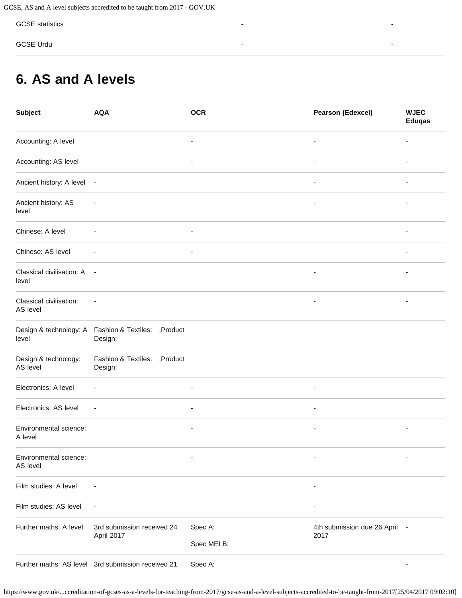GCSE statistics - -

GCSE Urdu - -

## <span id="page-3-0"></span>**6. AS and A levels**

| <b>Subject</b>                      | <b>AQA</b>                                                      | <b>OCR</b>                                 | <b>Pearson (Edexcel)</b>              | <b>WJEC</b><br><b>Eduqas</b> |
|-------------------------------------|-----------------------------------------------------------------|--------------------------------------------|---------------------------------------|------------------------------|
| Accounting: A level                 |                                                                 |                                            |                                       |                              |
| Accounting: AS level                |                                                                 | $\overline{a}$<br>$\overline{\phantom{a}}$ |                                       |                              |
| Ancient history: A level -          |                                                                 | $\overline{\phantom{a}}$                   |                                       |                              |
| Ancient history: AS<br>level        | $\overline{\phantom{a}}$                                        |                                            |                                       |                              |
| Chinese: A level                    |                                                                 | $\overline{\phantom{a}}$                   |                                       |                              |
| Chinese: AS level                   |                                                                 |                                            |                                       |                              |
| Classical civilisation: A<br>level  | $\sim$                                                          | $\blacksquare$                             |                                       |                              |
| Classical civilisation:<br>AS level |                                                                 |                                            |                                       |                              |
| level                               | Design & technology: A Fashion & Textiles: , Product<br>Design: |                                            |                                       |                              |
| Design & technology:<br>AS level    | Fashion & Textiles: , Product<br>Design:                        |                                            |                                       |                              |
| Electronics: A level                |                                                                 | $\overline{\phantom{a}}$                   |                                       |                              |
| Electronics: AS level               | $\overline{\phantom{a}}$                                        | $\overline{\phantom{a}}$<br>$\blacksquare$ |                                       |                              |
| Environmental science:<br>A level   |                                                                 |                                            |                                       |                              |
| Environmental science:<br>AS level  |                                                                 |                                            |                                       |                              |
| Film studies: A level               |                                                                 |                                            |                                       |                              |
| Film studies: AS level              |                                                                 |                                            |                                       |                              |
| Further maths: A level              | 3rd submission received 24<br>April 2017                        | Spec A:                                    | 4th submission due 26 April -<br>2017 |                              |
|                                     |                                                                 | Spec MEI B:                                |                                       |                              |
|                                     | Further maths: AS level 3rd submission received 21              | Spec A:                                    |                                       |                              |

https://www.gov.uk/...ccreditation-of-gcses-as-a-levels-for-teaching-from-2017/gcse-as-and-a-level-subjects-accredited-to-be-taught-from-2017[25/04/2017 09:02:10]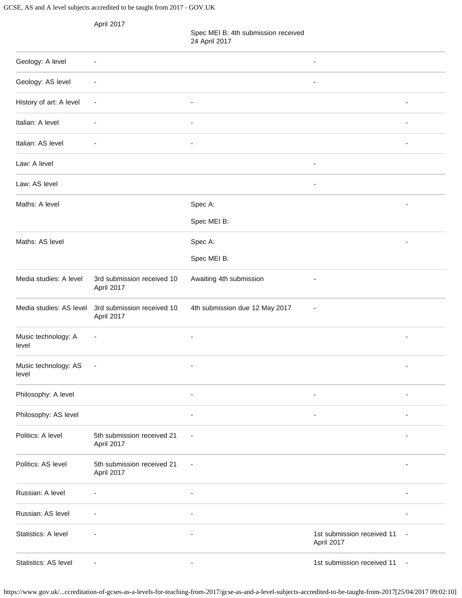GCSE, AS and A level subjects accredited to be taught from 2017 - GOV.UK

|                               | April 2017                               | Spec MEI B: 4th submission received<br>24 April 2017 |                                          |                          |
|-------------------------------|------------------------------------------|------------------------------------------------------|------------------------------------------|--------------------------|
| Geology: A level              | $\overline{a}$                           |                                                      | ٠                                        |                          |
| Geology: AS level             | $\overline{a}$                           |                                                      | $\overline{a}$                           |                          |
| History of art: A level       | $\overline{a}$                           | $\blacksquare$                                       |                                          |                          |
| Italian: A level              |                                          |                                                      |                                          |                          |
| Italian: AS level             |                                          | $\blacksquare$                                       |                                          |                          |
| Law: A level                  |                                          |                                                      | $\overline{\phantom{a}}$                 |                          |
| Law: AS level                 |                                          |                                                      | $\blacksquare$                           |                          |
| Maths: A level                |                                          | Spec A:                                              |                                          |                          |
|                               |                                          | Spec MEI B:                                          |                                          |                          |
| Maths: AS level               |                                          | Spec A:                                              |                                          |                          |
|                               |                                          | Spec MEI B:                                          |                                          |                          |
| Media studies: A level        | 3rd submission received 10<br>April 2017 | Awaiting 4th submission                              |                                          |                          |
| Media studies: AS level       | 3rd submission received 10<br>April 2017 | 4th submission due 12 May 2017                       |                                          |                          |
| Music technology: A<br>level  | $\overline{\phantom{a}}$                 | $\blacksquare$                                       |                                          | $\overline{\phantom{a}}$ |
| Music technology: AS<br>level | ÷,                                       |                                                      |                                          |                          |
| Philosophy: A level           |                                          | $\overline{\phantom{a}}$                             | $\overline{\phantom{a}}$                 | ÷,                       |
| Philosophy: AS level          |                                          | $\blacksquare$                                       | $\overline{\phantom{a}}$                 |                          |
| Politics: A level             | 5th submission received 21<br>April 2017 | $\overline{\phantom{a}}$                             |                                          |                          |
| Politics: AS level            | 5th submission received 21<br>April 2017 | $\overline{\phantom{a}}$                             |                                          |                          |
| Russian: A level              |                                          | $\blacksquare$                                       |                                          |                          |
| Russian: AS level             |                                          | $\overline{\phantom{a}}$                             |                                          | ÷,                       |
| Statistics: A level           |                                          |                                                      | 1st submission received 11<br>April 2017 |                          |
| Statistics: AS level          |                                          |                                                      | 1st submission received 11               | $\sim$                   |

https://www.gov.uk/...ccreditation-of-gcses-as-a-levels-for-teaching-from-2017/gcse-as-and-a-level-subjects-accredited-to-be-taught-from-2017[25/04/2017 09:02:10]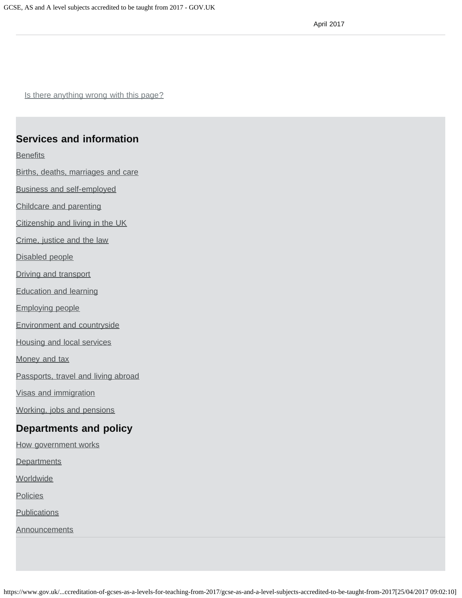Is there anything wrong with this page?

#### **Services and information**

**[Benefits](https://www.gov.uk/browse/benefits)** 

[Births, deaths, marriages and care](https://www.gov.uk/browse/births-deaths-marriages)

[Business and self-employed](https://www.gov.uk/browse/business)

[Childcare and parenting](https://www.gov.uk/browse/childcare-parenting)

[Citizenship and living in the UK](https://www.gov.uk/browse/citizenship)

[Crime, justice and the law](https://www.gov.uk/browse/justice)

[Disabled people](https://www.gov.uk/browse/disabilities)

[Driving and transport](https://www.gov.uk/browse/driving)

[Education and learning](https://www.gov.uk/browse/education)

[Employing people](https://www.gov.uk/browse/employing-people)

[Environment and countryside](https://www.gov.uk/browse/environment-countryside)

[Housing and local services](https://www.gov.uk/browse/housing-local-services)

[Money and tax](https://www.gov.uk/browse/tax)

[Passports, travel and living abroad](https://www.gov.uk/browse/abroad)

[Visas and immigration](https://www.gov.uk/browse/visas-immigration)

[Working, jobs and pensions](https://www.gov.uk/browse/working)

#### **Departments and policy**

[How government works](https://www.gov.uk/government/how-government-works)

**[Departments](https://www.gov.uk/government/organisations)** 

**[Worldwide](https://www.gov.uk/government/world)** 

**[Policies](https://www.gov.uk/government/policies)** 

**[Publications](https://www.gov.uk/government/publications)** 

**[Announcements](https://www.gov.uk/government/announcements)**